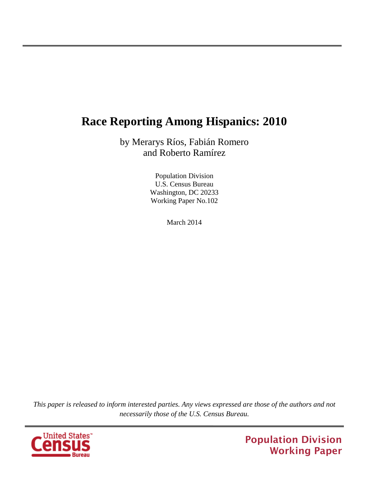# **Race Reporting Among Hispanics: 2010**

by Merarys Ríos, Fabián Romero and Roberto Ramírez

> Population Division U.S. Census Bureau Washington, DC 20233 Working Paper No.102

> > March 2014

*This paper is released to inform interested parties. Any views expressed are those of the authors and not necessarily those of the U.S. Census Bureau.*



Population Division Working Paper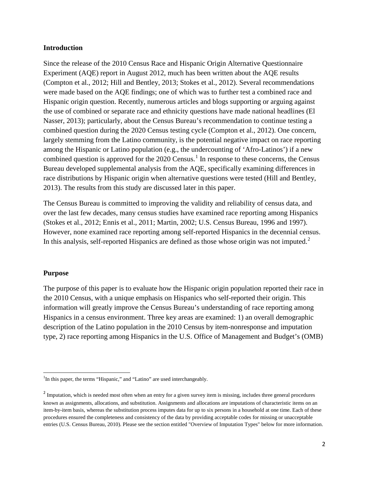#### **Introduction**

Since the release of the 2010 Census Race and Hispanic Origin Alternative Questionnaire Experiment (AQE) report in August 2012, much has been written about the AQE results (Compton et al., 2012; Hill and Bentley, 2013; Stokes et al., 2012). Several recommendations were made based on the AQE findings; one of which was to further test a combined race and Hispanic origin question. Recently, numerous articles and blogs supporting or arguing against the use of combined or separate race and ethnicity questions have made national headlines (El Nasser, 2013); particularly, about the Census Bureau's recommendation to continue testing a combined question during the 2020 Census testing cycle (Compton et al., 2012). One concern, largely stemming from the Latino community, is the potential negative impact on race reporting among the Hispanic or Latino population (e.g., the undercounting of 'Afro-Latinos') if a new combined question is approved for the 2020 Census.<sup>[1](#page-1-0)</sup> In response to these concerns, the Census Bureau developed supplemental analysis from the AQE, specifically examining differences in race distributions by Hispanic origin when alternative questions were tested (Hill and Bentley, 2013). The results from this study are discussed later in this paper.

The Census Bureau is committed to improving the validity and reliability of census data, and over the last few decades, many census studies have examined race reporting among Hispanics (Stokes et al., 2012; Ennis et al., 2011; Martin, 2002; U.S. Census Bureau, 1996 and 1997). However, none examined race reporting among self-reported Hispanics in the decennial census. In this analysis, self-reported Hispanics are defined as those whose origin was not imputed.<sup>[2](#page-1-1)</sup>

#### **Purpose**

l

The purpose of this paper is to evaluate how the Hispanic origin population reported their race in the 2010 Census, with a unique emphasis on Hispanics who self-reported their origin. This information will greatly improve the Census Bureau's understanding of race reporting among Hispanics in a census environment. Three key areas are examined: 1) an overall demographic description of the Latino population in the 2010 Census by item-nonresponse and imputation type, 2) race reporting among Hispanics in the U.S. Office of Management and Budget's (OMB)

<span id="page-1-0"></span><sup>&</sup>lt;sup>1</sup>In this paper, the terms "Hispanic," and "Latino" are used interchangeably.

<span id="page-1-1"></span><sup>&</sup>lt;sup>2</sup> Imputation, which is needed most often when an entry for a given survey item is missing, includes three general procedures known as assignments, allocations, and substitution. Assignments and allocations are imputations of characteristic items on an item-by-item basis, whereas the substitution process imputes data for up to six persons in a household at one time. Each of these procedures ensured the completeness and consistency of the data by providing acceptable codes for missing or unacceptable entries (U.S. Census Bureau, 2010). Please see the section entitled "Overview of Imputation Types" below for more information.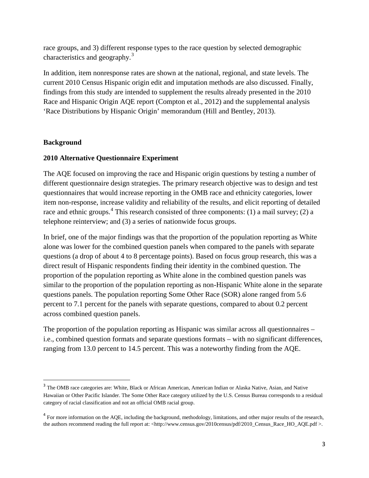race groups, and 3) different response types to the race question by selected demographic characteristics and geography.<sup>[3](#page-2-0)</sup>

In addition, item nonresponse rates are shown at the national, regional, and state levels. The current 2010 Census Hispanic origin edit and imputation methods are also discussed. Finally, findings from this study are intended to supplement the results already presented in the 2010 Race and Hispanic Origin AQE report (Compton et al., 2012) and the supplemental analysis 'Race Distributions by Hispanic Origin' memorandum (Hill and Bentley, 2013).

# **Background**

 $\overline{\phantom{a}}$ 

### **2010 Alternative Questionnaire Experiment**

The AQE focused on improving the race and Hispanic origin questions by testing a number of different questionnaire design strategies. The primary research objective was to design and test questionnaires that would increase reporting in the OMB race and ethnicity categories, lower item non-response, increase validity and reliability of the results, and elicit reporting of detailed race and ethnic groups.<sup>[4](#page-2-1)</sup> This research consisted of three components: (1) a mail survey; (2) a telephone reinterview; and (3) a series of nationwide focus groups.

In brief, one of the major findings was that the proportion of the population reporting as White alone was lower for the combined question panels when compared to the panels with separate questions (a drop of about 4 to 8 percentage points). Based on focus group research, this was a direct result of Hispanic respondents finding their identity in the combined question. The proportion of the population reporting as White alone in the combined question panels was similar to the proportion of the population reporting as non-Hispanic White alone in the separate questions panels. The population reporting Some Other Race (SOR) alone ranged from 5.6 percent to 7.1 percent for the panels with separate questions, compared to about 0.2 percent across combined question panels.

The proportion of the population reporting as Hispanic was similar across all questionnaires – i.e., combined question formats and separate questions formats – with no significant differences, ranging from 13.0 percent to 14.5 percent. This was a noteworthy finding from the AQE.

<span id="page-2-0"></span><sup>&</sup>lt;sup>3</sup> The OMB race categories are: White, Black or African American, American Indian or Alaska Native, Asian, and Native Hawaiian or Other Pacific Islander. The Some Other Race category utilized by the U.S. Census Bureau corresponds to a residual category of racial classification and not an official OMB racial group.

<span id="page-2-1"></span><sup>&</sup>lt;sup>4</sup> For more information on the AQE, including the background, methodology, limitations, and other major results of the research, the authors recommend reading the full report at: <http://www.census.gov/2010census/pdf/2010\_Census\_Race\_HO\_AQE.pdf >.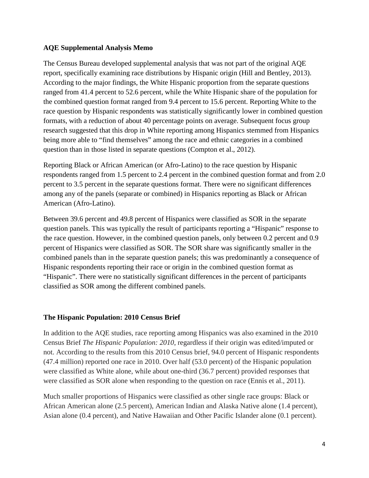### **AQE Supplemental Analysis Memo**

The Census Bureau developed supplemental analysis that was not part of the original AQE report, specifically examining race distributions by Hispanic origin (Hill and Bentley, 2013). According to the major findings, the White Hispanic proportion from the separate questions ranged from 41.4 percent to 52.6 percent, while the White Hispanic share of the population for the combined question format ranged from 9.4 percent to 15.6 percent. Reporting White to the race question by Hispanic respondents was statistically significantly lower in combined question formats, with a reduction of about 40 percentage points on average. Subsequent focus group research suggested that this drop in White reporting among Hispanics stemmed from Hispanics being more able to "find themselves" among the race and ethnic categories in a combined question than in those listed in separate questions (Compton et al., 2012).

Reporting Black or African American (or Afro-Latino) to the race question by Hispanic respondents ranged from 1.5 percent to 2.4 percent in the combined question format and from 2.0 percent to 3.5 percent in the separate questions format. There were no significant differences among any of the panels (separate or combined) in Hispanics reporting as Black or African American (Afro-Latino).

Between 39.6 percent and 49.8 percent of Hispanics were classified as SOR in the separate question panels. This was typically the result of participants reporting a "Hispanic" response to the race question. However, in the combined question panels, only between 0.2 percent and 0.9 percent of Hispanics were classified as SOR. The SOR share was significantly smaller in the combined panels than in the separate question panels; this was predominantly a consequence of Hispanic respondents reporting their race or origin in the combined question format as "Hispanic". There were no statistically significant differences in the percent of participants classified as SOR among the different combined panels.

# **The Hispanic Population: 2010 Census Brief**

In addition to the AQE studies, race reporting among Hispanics was also examined in the 2010 Census Brief *The Hispanic Population: 2010*, regardless if their origin was edited/imputed or not. According to the results from this 2010 Census brief, 94.0 percent of Hispanic respondents (47.4 million) reported one race in 2010. Over half (53.0 percent) of the Hispanic population were classified as White alone, while about one-third (36.7 percent) provided responses that were classified as SOR alone when responding to the question on race (Ennis et al., 2011).

Much smaller proportions of Hispanics were classified as other single race groups: Black or African American alone (2.5 percent), American Indian and Alaska Native alone (1.4 percent), Asian alone (0.4 percent), and Native Hawaiian and Other Pacific Islander alone (0.1 percent).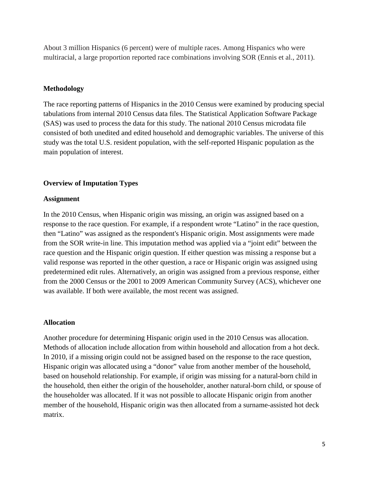About 3 million Hispanics (6 percent) were of multiple races. Among Hispanics who were multiracial, a large proportion reported race combinations involving SOR (Ennis et al., 2011).

#### **Methodology**

The race reporting patterns of Hispanics in the 2010 Census were examined by producing special tabulations from internal 2010 Census data files. The Statistical Application Software Package (SAS) was used to process the data for this study. The national 2010 Census microdata file consisted of both unedited and edited household and demographic variables. The universe of this study was the total U.S. resident population, with the self-reported Hispanic population as the main population of interest.

#### **Overview of Imputation Types**

#### **Assignment**

In the 2010 Census, when Hispanic origin was missing, an origin was assigned based on a response to the race question. For example, if a respondent wrote "Latino" in the race question, then "Latino" was assigned as the respondent's Hispanic origin. Most assignments were made from the SOR write-in line. This imputation method was applied via a "joint edit" between the race question and the Hispanic origin question. If either question was missing a response but a valid response was reported in the other question, a race or Hispanic origin was assigned using predetermined edit rules. Alternatively, an origin was assigned from a previous response, either from the 2000 Census or the 2001 to 2009 American Community Survey (ACS), whichever one was available. If both were available, the most recent was assigned.

#### **Allocation**

Another procedure for determining Hispanic origin used in the 2010 Census was allocation. Methods of allocation include allocation from within household and allocation from a hot deck. In 2010, if a missing origin could not be assigned based on the response to the race question, Hispanic origin was allocated using a "donor" value from another member of the household, based on household relationship. For example, if origin was missing for a natural-born child in the household, then either the origin of the householder, another natural-born child, or spouse of the householder was allocated. If it was not possible to allocate Hispanic origin from another member of the household, Hispanic origin was then allocated from a surname-assisted hot deck matrix.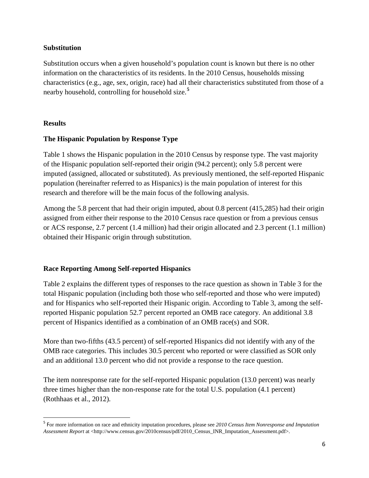### **Substitution**

Substitution occurs when a given household's population count is known but there is no other information on the characteristics of its residents. In the 2010 Census, households missing characteristics (e.g., age, sex, origin, race) had all their characteristics substituted from those of a nearby household, controlling for household size. **[5](#page-5-0)**

### **Results**

 $\overline{\phantom{a}}$ 

# **The Hispanic Population by Response Type**

Table 1 shows the Hispanic population in the 2010 Census by response type. The vast majority of the Hispanic population self-reported their origin (94.2 percent); only 5.8 percent were imputed (assigned, allocated or substituted). As previously mentioned, the self-reported Hispanic population (hereinafter referred to as Hispanics) is the main population of interest for this research and therefore will be the main focus of the following analysis.

Among the 5.8 percent that had their origin imputed, about 0.8 percent (415,285) had their origin assigned from either their response to the 2010 Census race question or from a previous census or ACS response, 2.7 percent (1.4 million) had their origin allocated and 2.3 percent (1.1 million) obtained their Hispanic origin through substitution.

# **Race Reporting Among Self-reported Hispanics**

Table 2 explains the different types of responses to the race question as shown in Table 3 for the total Hispanic population (including both those who self-reported and those who were imputed) and for Hispanics who self-reported their Hispanic origin. According to Table 3, among the selfreported Hispanic population 52.7 percent reported an OMB race category. An additional 3.8 percent of Hispanics identified as a combination of an OMB race(s) and SOR.

More than two-fifths (43.5 percent) of self-reported Hispanics did not identify with any of the OMB race categories. This includes 30.5 percent who reported or were classified as SOR only and an additional 13.0 percent who did not provide a response to the race question.

The item nonresponse rate for the self-reported Hispanic population (13.0 percent) was nearly three times higher than the non-response rate for the total U.S. population (4.1 percent) (Rothhaas et al., 2012).

<span id="page-5-0"></span><sup>5</sup> For more information on race and ethnicity imputation procedures, please see *2010 Census Item Nonresponse and Imputation Assessment Report* at <http://www.census.gov/2010census/pdf/2010\_Census\_INR\_Imputation\_Assessment.pdf>.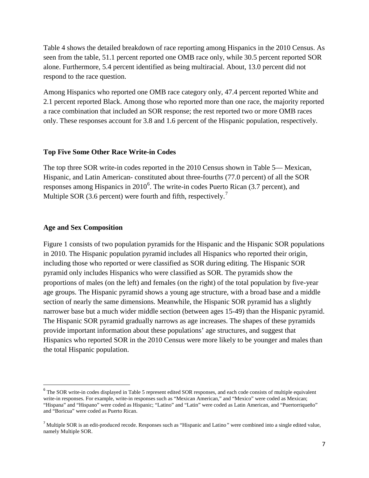Table 4 shows the detailed breakdown of race reporting among Hispanics in the 2010 Census. As seen from the table, 51.1 percent reported one OMB race only, while 30.5 percent reported SOR alone. Furthermore, 5.4 percent identified as being multiracial. About, 13.0 percent did not respond to the race question.

Among Hispanics who reported one OMB race category only, 47.4 percent reported White and 2.1 percent reported Black. Among those who reported more than one race, the majority reported a race combination that included an SOR response; the rest reported two or more OMB races only. These responses account for 3.8 and 1.6 percent of the Hispanic population, respectively.

#### **Top Five Some Other Race Write-in Codes**

The top three SOR write-in codes reported in the 2010 Census shown in Table 5— Mexican, Hispanic, and Latin American- constituted about three-fourths (77.0 percent) of all the SOR responses among Hispanics in  $2010^6$  $2010^6$ . The write-in codes Puerto Rican (3.7 percent), and Multiple SOR (3.6 percent) were fourth and fifth, respectively.<sup>[7](#page-6-1)</sup>

#### **Age and Sex Composition**

 $\overline{\phantom{a}}$ 

Figure 1 consists of two population pyramids for the Hispanic and the Hispanic SOR populations in 2010. The Hispanic population pyramid includes all Hispanics who reported their origin, including those who reported or were classified as SOR during editing. The Hispanic SOR pyramid only includes Hispanics who were classified as SOR. The pyramids show the proportions of males (on the left) and females (on the right) of the total population by five-year age groups. The Hispanic pyramid shows a young age structure, with a broad base and a middle section of nearly the same dimensions. Meanwhile, the Hispanic SOR pyramid has a slightly narrower base but a much wider middle section (between ages 15-49) than the Hispanic pyramid. The Hispanic SOR pyramid gradually narrows as age increases. The shapes of these pyramids provide important information about these populations' age structures, and suggest that Hispanics who reported SOR in the 2010 Census were more likely to be younger and males than the total Hispanic population.

<span id="page-6-0"></span><sup>&</sup>lt;sup>6</sup> The SOR write-in codes displayed in Table 5 represent edited SOR responses, and each code consists of multiple equivalent write-in responses. For example, write-in responses such as "Mexican American," and "Mexico" were coded as Mexican; "Hispana" and "Hispano" were coded as Hispanic; "Latino" and "Latin" were coded as Latin American, and "Puertorriqueño" and "Boricua" were coded as Puerto Rican.

<span id="page-6-1"></span><sup>7</sup> Multiple SOR is an edit-produced recode. Responses such as "Hispanic and Latino*"* were combined into a single edited value, namely Multiple SOR.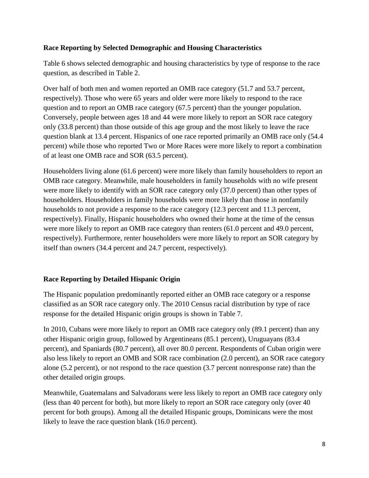# **Race Reporting by Selected Demographic and Housing Characteristics**

Table 6 shows selected demographic and housing characteristics by type of response to the race question, as described in Table 2.

Over half of both men and women reported an OMB race category (51.7 and 53.7 percent, respectively). Those who were 65 years and older were more likely to respond to the race question and to report an OMB race category (67.5 percent) than the younger population. Conversely, people between ages 18 and 44 were more likely to report an SOR race category only (33.8 percent) than those outside of this age group and the most likely to leave the race question blank at 13.4 percent. Hispanics of one race reported primarily an OMB race only (54.4 percent) while those who reported Two or More Races were more likely to report a combination of at least one OMB race and SOR (63.5 percent).

Householders living alone (61.6 percent) were more likely than family householders to report an OMB race category. Meanwhile, male householders in family households with no wife present were more likely to identify with an SOR race category only (37.0 percent) than other types of householders. Householders in family households were more likely than those in nonfamily households to not provide a response to the race category (12.3 percent and 11.3 percent, respectively). Finally, Hispanic householders who owned their home at the time of the census were more likely to report an OMB race category than renters (61.0 percent and 49.0 percent, respectively). Furthermore, renter householders were more likely to report an SOR category by itself than owners (34.4 percent and 24.7 percent, respectively).

# **Race Reporting by Detailed Hispanic Origin**

The Hispanic population predominantly reported either an OMB race category or a response classified as an SOR race category only. The 2010 Census racial distribution by type of race response for the detailed Hispanic origin groups is shown in Table 7.

In 2010, Cubans were more likely to report an OMB race category only (89.1 percent) than any other Hispanic origin group, followed by Argentineans (85.1 percent), Uruguayans (83.4 percent), and Spaniards (80.7 percent), all over 80.0 percent. Respondents of Cuban origin were also less likely to report an OMB and SOR race combination (2.0 percent), an SOR race category alone (5.2 percent), or not respond to the race question (3.7 percent nonresponse rate) than the other detailed origin groups.

Meanwhile, Guatemalans and Salvadorans were less likely to report an OMB race category only (less than 40 percent for both), but more likely to report an SOR race category only (over 40 percent for both groups). Among all the detailed Hispanic groups, Dominicans were the most likely to leave the race question blank (16.0 percent).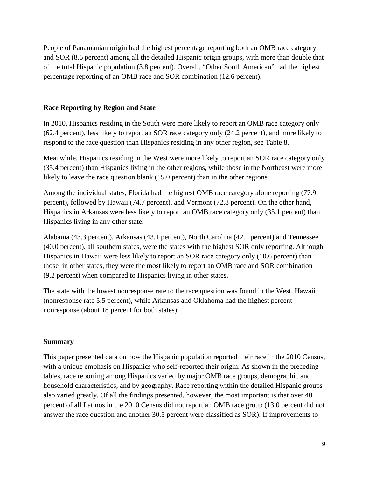People of Panamanian origin had the highest percentage reporting both an OMB race category and SOR (8.6 percent) among all the detailed Hispanic origin groups, with more than double that of the total Hispanic population (3.8 percent). Overall, "Other South American" had the highest percentage reporting of an OMB race and SOR combination (12.6 percent).

# **Race Reporting by Region and State**

In 2010, Hispanics residing in the South were more likely to report an OMB race category only (62.4 percent), less likely to report an SOR race category only (24.2 percent), and more likely to respond to the race question than Hispanics residing in any other region, see Table 8.

Meanwhile, Hispanics residing in the West were more likely to report an SOR race category only (35.4 percent) than Hispanics living in the other regions, while those in the Northeast were more likely to leave the race question blank (15.0 percent) than in the other regions.

Among the individual states, Florida had the highest OMB race category alone reporting (77.9 percent), followed by Hawaii (74.7 percent), and Vermont (72.8 percent). On the other hand, Hispanics in Arkansas were less likely to report an OMB race category only (35.1 percent) than Hispanics living in any other state.

Alabama (43.3 percent), Arkansas (43.1 percent), North Carolina (42.1 percent) and Tennessee (40.0 percent), all southern states, were the states with the highest SOR only reporting. Although Hispanics in Hawaii were less likely to report an SOR race category only (10.6 percent) than those in other states, they were the most likely to report an OMB race and SOR combination (9.2 percent) when compared to Hispanics living in other states.

The state with the lowest nonresponse rate to the race question was found in the West, Hawaii (nonresponse rate 5.5 percent), while Arkansas and Oklahoma had the highest percent nonresponse (about 18 percent for both states).

# **Summary**

This paper presented data on how the Hispanic population reported their race in the 2010 Census, with a unique emphasis on Hispanics who self-reported their origin. As shown in the preceding tables, race reporting among Hispanics varied by major OMB race groups, demographic and household characteristics, and by geography. Race reporting within the detailed Hispanic groups also varied greatly. Of all the findings presented, however, the most important is that over 40 percent of all Latinos in the 2010 Census did not report an OMB race group (13.0 percent did not answer the race question and another 30.5 percent were classified as SOR). If improvements to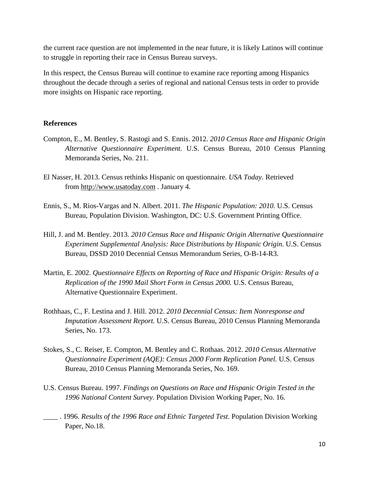the current race question are not implemented in the near future, it is likely Latinos will continue to struggle in reporting their race in Census Bureau surveys.

In this respect, the Census Bureau will continue to examine race reporting among Hispanics throughout the decade through a series of regional and national Census tests in order to provide more insights on Hispanic race reporting.

### **References**

- Compton, E., M. Bentley, S. Rastogi and S. Ennis. 2012. *2010 Census Race and Hispanic Origin Alternative Questionnaire Experiment.* U.S. Census Bureau, 2010 Census Planning Memoranda Series, No. 211.
- El Nasser, H. 2013. Census rethinks Hispanic on questionnaire. *USA Today.* Retrieved from [http://www.usatoday.com](http://www.usatoday.com/) . January 4.
- Ennis, S., M. Rios-Vargas and N. Albert. 2011. *The Hispanic Population: 2010.* U.S. Census Bureau, Population Division. Washington, DC: U.S. Government Printing Office.
- Hill, J. and M. Bentley. 2013. *2010 Census Race and Hispanic Origin Alternative Questionnaire Experiment Supplemental Analysis: Race Distributions by Hispanic Origin.* U.S. Census Bureau, DSSD 2010 Decennial Census Memorandum Series, O-B-14-R3.
- Martin, E. 2002. *Questionnaire Effects on Reporting of Race and Hispanic Origin: Results of a Replication of the 1990 Mail Short Form in Census 2000.* U.S. Census Bureau, Alternative Questionnaire Experiment.
- Rothhaas, C., F. Lestina and J. Hill. 2012. *2010 Decennial Census: Item Nonresponse and Imputation Assessment Report.* U.S. Census Bureau, 2010 Census Planning Memoranda Series, No. 173.
- Stokes, S., C. Reiser, E. Compton, M. Bentley and C. Rothaas. 2012. *2010 Census Alternative Questionnaire Experiment (AQE): Census 2000 Form Replication Panel.* U.S. Census Bureau, 2010 Census Planning Memoranda Series, No. 169.
- U.S. Census Bureau. 1997. *Findings on Questions on Race and Hispanic Origin Tested in the 1996 National Content Survey.* Population Division Working Paper, No. 16.
- \_\_\_\_ . 1996. *Results of the 1996 Race and Ethnic Targeted Test.* Population Division Working Paper, No.18.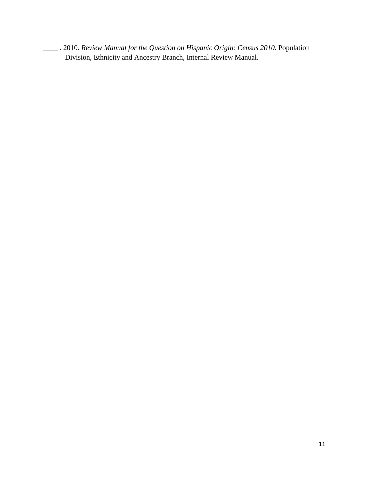\_\_\_\_ . 2010. *Review Manual for the Question on Hispanic Origin: Census 2010.* Population Division, Ethnicity and Ancestry Branch, Internal Review Manual.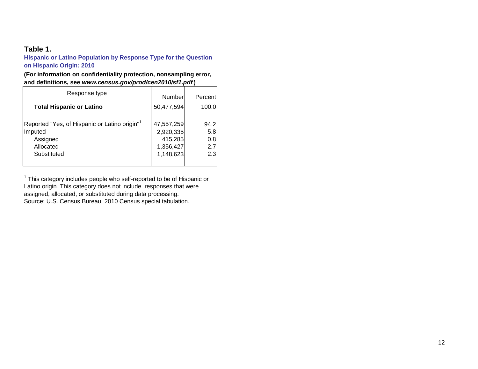# **Table 1.**

**Hispanic or Latino Population by Response Type for the Question on Hispanic Origin: 2010**

**(For information on confidentiality protection, nonsampling error, and definitions, see** *www.census.gov/prod/cen2010/sf1.pdf* **)**

| Response type                                                                                                | Numberl                                                      | Percent                          |
|--------------------------------------------------------------------------------------------------------------|--------------------------------------------------------------|----------------------------------|
| <b>Total Hispanic or Latino</b>                                                                              | 50,477,594                                                   | 100.0                            |
| Reported "Yes, of Hispanic or Latino origin" <sup>1</sup><br>Imputed<br>Assigned<br>Allocated<br>Substituted | 47,557,259<br>2,920,335<br>415,285<br>1,356,427<br>1,148,623 | 94.2<br>5.8<br>0.8<br>2.7<br>2.3 |

Source: U.S. Census Bureau, 2010 Census special tabulation. <sup>1</sup> This category includes people who self-reported to be of Hispanic or Latino origin. This category does not include responses that were assigned, allocated, or substituted during data processing.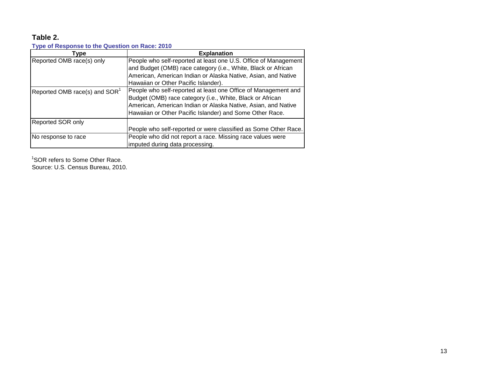# **Table 2.**

| Type of Response to the Question on Race. 2010<br>Type | <b>Explanation</b>                                                                                                                                                                                                                                       |
|--------------------------------------------------------|----------------------------------------------------------------------------------------------------------------------------------------------------------------------------------------------------------------------------------------------------------|
| Reported OMB race(s) only                              | People who self-reported at least one U.S. Office of Management<br>and Budget (OMB) race category (i.e., White, Black or African<br>American, American Indian or Alaska Native, Asian, and Native<br>Hawaiian or Other Pacific Islander).                |
| Reported OMB race(s) and SOR <sup>1</sup>              | People who self-reported at least one Office of Management and<br>Budget (OMB) race category (i.e., White, Black or African<br>American, American Indian or Alaska Native, Asian, and Native<br>Hawaiian or Other Pacific Islander) and Some Other Race. |
| Reported SOR only                                      | People who self-reported or were classified as Some Other Race.                                                                                                                                                                                          |
| No response to race                                    | People who did not report a race. Missing race values were<br>imputed during data processing.                                                                                                                                                            |

**Type of Response to the Question on Race: 2010** 

<sup>1</sup>SOR refers to Some Other Race. Source: U.S. Census Bureau, 2010.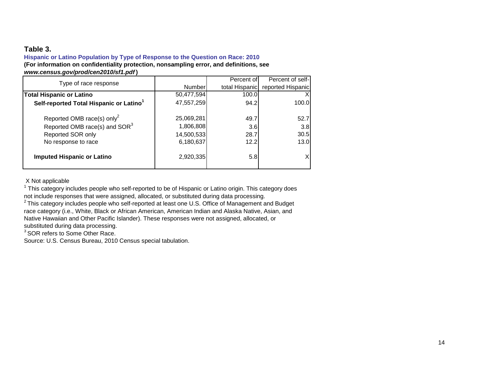# **Table 3.**

#### **Hispanic or Latino Population by Type of Response to the Question on Race: 2010 (For information on confidentiality protection, nonsampling error, and definitions, see**  *www.census.gov/prod/cen2010/sf1.pdf* **)**

| Type of race response                               |               | Percent of     | Percent of self-  |
|-----------------------------------------------------|---------------|----------------|-------------------|
|                                                     | <b>Number</b> | total Hispanic | reported Hispanic |
| <b>Total Hispanic or Latino</b>                     | 50,477,594    | 100.0          |                   |
| Self-reported Total Hispanic or Latino <sup>1</sup> | 47,557,259    | 94.2           | 100.0             |
|                                                     |               |                |                   |
| Reported OMB race(s) only <sup>2</sup>              | 25,069,281    | 49.7           | 52.7              |
| Reported OMB race(s) and SOR <sup>3</sup>           | 1,806,808     | 3.6            | 3.8               |
| Reported SOR only                                   | 14,500,533    | 28.7           | 30.5              |
| No response to race                                 | 6,180,637     | 12.2           | 13.0              |
| <b>Imputed Hispanic or Latino</b>                   | 2,920,335     | 5.8            |                   |

X Not applicable

<sup>1</sup> This category includes people who self-reported to be of Hispanic or Latino origin. This category does not include responses that were assigned, allocated, or substituted during data processing.

 $2$  This category includes people who self-reported at least one U.S. Office of Management and Budget race category (i.e., White, Black or African American, American Indian and Alaska Native, Asian, and Native Hawaiian and Other Pacific Islander). These responses were not assigned, allocated, or substituted during data processing.

<sup>3</sup> SOR refers to Some Other Race.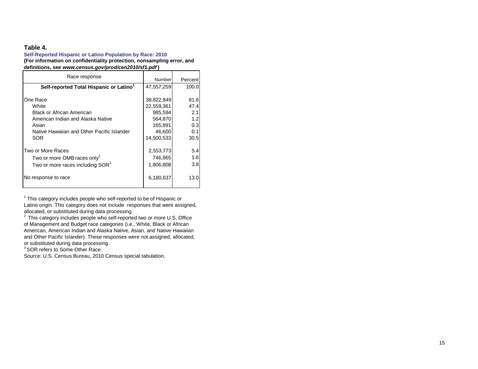#### **Table 4.**

#### **Self-Reported Hispanic or Latino Population by Race: 2010 (For information on confidentiality protection, nonsampling error, and definitions, see** *www.census.gov/prod/cen2010/sf1.pdf* **)**

| Race response                                                                                                                                                   | Number                                                                            | Percent                                          |
|-----------------------------------------------------------------------------------------------------------------------------------------------------------------|-----------------------------------------------------------------------------------|--------------------------------------------------|
| Self-reported Total Hispanic or Latino <sup>1</sup>                                                                                                             | 47,557,259                                                                        | 100.0                                            |
| One Race<br>White<br><b>Black or African American</b><br>American Indian and Alaska Native<br>Asian<br>Native Hawaiian and Other Pacific Islander<br><b>SOR</b> | 38,822,849<br>22,559,361<br>985,594<br>564,870<br>165,891<br>46,600<br>14,500,533 | 81.6<br>47.4<br>2.1<br>1.2<br>0.3<br>0.1<br>30.5 |
| Two or More Races<br>Two or more OMB races only <sup>2</sup><br>Two or more races including SOR <sup>3</sup>                                                    | 2,553,773<br>746,965<br>1,806,808                                                 | 5.4<br>1.6<br>3.8                                |
| No response to race                                                                                                                                             | 6,180,637                                                                         | 13.0                                             |

 $1$  This category includes people who self-reported to be of Hispanic or

Latino origin. This category does not include responses that were assigned, allocated, or substituted during data processing.

<sup>2</sup> This category includes people who self-reported two or more U.S. Office of Management and Budget race categories (i.e., White, Black or African American, American Indian and Alaska Native, Asian, and Native Hawaiian and Other Pacific Islander). These responses were not assigned, allocated, or substituted during data processing. <sup>1</sup> This category includes people who s<br>Latino origin. This category does not i<br>allocated, or substituted during data p<br><sup>2</sup> This category includes people who s<br>of Management and Budget race cate<br>American, American Indian

<sup>3</sup> SOR refers to Some Other Race.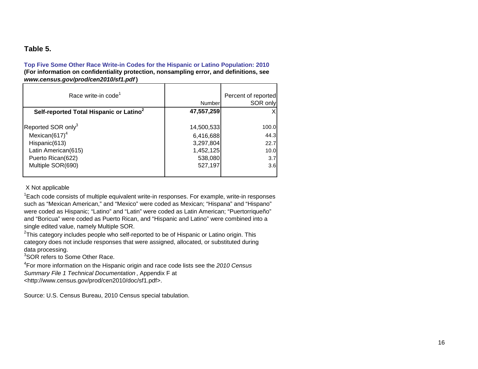# **Table 5.**

**Top Five Some Other Race Write-in Codes for the Hispanic or Latino Population: 2010 (For information on confidentiality protection, nonsampling error, and definitions, see**  *www.census.gov/prod/cen2010/sf1.pdf* **)**

| Race write-in code <sup>1</sup>                                      | Number                               | Percent of reported<br>SOR only |
|----------------------------------------------------------------------|--------------------------------------|---------------------------------|
| Self-reported Total Hispanic or Latino <sup>2</sup>                  | 47,557,259                           |                                 |
| Reported SOR only <sup>3</sup><br>Mexican $(617)^4$<br>Hispanic(613) | 14,500,533<br>6,416,688<br>3,297,804 | 100.0<br>44.3<br>22.7           |
| Latin American(615)<br>Puerto Rican(622)                             | 1,452,125<br>538,080                 | 10.0<br>3.7                     |
| Multiple SOR(690)                                                    | 527,197                              | 3.6                             |

X Not applicable

<sup>1</sup> Each code consists of multiple equivalent write-in responses. For example, write-in responses such as "Mexican American," and "Mexico" were coded as Mexican; "Hispana" and "Hispano" were coded as Hispanic; "Latino" and "Latin" were coded as Latin American; "Puertorriqueño" and "Boricua" were coded as Puerto Rican, and "Hispanic and Latino" were combined into a single edited value, namely Multiple SOR.

 $2$ This category includes people who self-reported to be of Hispanic or Latino origin. This category does not include responses that were assigned, allocated, or substituted during data processing.

<sup>3</sup>SOR refers to Some Other Race.

4 For more information on the Hispanic origin and race code lists see the *2010 Census Summary File 1 Technical Documentation* , Appendix F at <http://www.census.gov/prod/cen2010/doc/sf1.pdf>.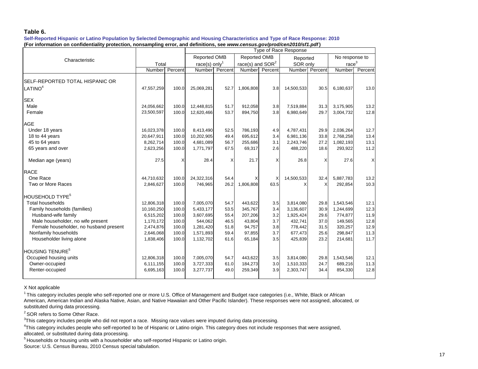#### **Table 6.**

**Self-Reported Hispanic or Latino Population by Selected Demographic and Housing Characteristics and Type of Race Response: 2010 (For information on confidentiality protection, nonsampling error, and definitions, see** *www.census.gov/prod/cen2010/sf1.pdf* **)**

|                                        |            |                | Type of Race Response     |                                            |                    |                |            |                |                   |                |
|----------------------------------------|------------|----------------|---------------------------|--------------------------------------------|--------------------|----------------|------------|----------------|-------------------|----------------|
| Characteristic                         |            |                |                           | <b>Reported OMB</b><br><b>Reported OMB</b> |                    |                |            | Reported       |                   | No response to |
|                                        | Total      |                | race(s) only <sup>1</sup> |                                            | race(s) and $SOR2$ |                | SOR only   |                | race <sup>3</sup> |                |
|                                        |            | Number Percent | Number                    | Percent                                    |                    | Number Percent |            | Number Percent | Number            | Percent        |
| SELF-REPORTED TOTAL HISPANIC OR        |            |                |                           |                                            |                    |                |            |                |                   |                |
|                                        |            |                |                           |                                            |                    |                |            |                |                   |                |
| LATINO <sup>4</sup>                    | 47,557,259 | 100.0          | 25,069,281                | 52.7                                       | 1,806,808          | 3.8            | 14,500,533 | 30.5           | 6,180,637         | 13.0           |
| <b>SEX</b>                             |            |                |                           |                                            |                    |                |            |                |                   |                |
| Male                                   | 24,056,662 | 100.0          | 12,448,815                | 51.7                                       | 912,058            | 3.8            | 7,519,884  | 31.3           | 3,175,905         | 13.2           |
| Female                                 | 23,500,597 | 100.0          | 12,620,466                | 53.7                                       | 894,750            | 3.8            | 6,980,649  | 29.7           | 3,004,732         | 12.8           |
| <b>AGE</b>                             |            |                |                           |                                            |                    |                |            |                |                   |                |
| Under 18 years                         | 16,023,378 | 100.0          | 8,413,490                 | 52.5                                       | 786,193            | 4.9            | 4,787,431  | 29.9           | 2,036,264         | 12.7           |
| 18 to 44 years                         | 20,647,911 | 100.0          | 10,202,905                | 49.4                                       | 695,612            | 3.4            | 6,981,136  | 33.8           | 2,768,258         | 13.4           |
| 45 to 64 years                         | 8,262,714  | 100.0          | 4,681,089                 | 56.7                                       | 255,686            | 3.1            | 2,243,746  | 27.2           | 1,082,193         | 13.1           |
| 65 years and over                      | 2,623,256  | 100.0          | 1,771,797                 | 67.5                                       | 69,317             | 2.6            | 488,220    | 18.6           | 293,922           | 11.2           |
| Median age (years)                     | 27.5       | X              | 28.4                      | X                                          | 21.7               | X              | 26.8       | X              | 27.6              | X              |
| <b>RACE</b>                            |            |                |                           |                                            |                    |                |            |                |                   |                |
| One Race                               | 44,710,632 | 100.0          | 24,322,316                | 54.4                                       | X                  | X              | 14,500,533 | 32.4           | 5,887,783         | 13.2           |
| Two or More Races                      | 2,846,627  | 100.0          | 746,965                   | 26.2                                       | 1,806,808          | 63.5           | X          | X              | 292,854           | 10.3           |
| HOUSEHOLD TYPE <sup>5</sup>            |            |                |                           |                                            |                    |                |            |                |                   |                |
| <b>Total households</b>                | 12,806,318 | 100.0          | 7,005,070                 | 54.7                                       | 443.622            | 3.5            | 3,814,080  | 29.8           | 1,543,546         | 12.1           |
| Family households (families)           | 10,160,250 | 100.0          | 5,433,177                 | 53.5                                       | 345,767            | 3.4            | 3,136,607  | 30.9           | 1,244,699         | 12.3           |
| Husband-wife family                    | 6,515,202  | 100.0          | 3,607,695                 | 55.4                                       | 207,206            | 3.2            | 1,925,424  | 29.6           | 774,877           | 11.9           |
| Male householder, no wife present      | 1,170,172  | 100.0          | 544,062                   | 46.5                                       | 43,804             | 3.7            | 432,741    | 37.0           | 149,565           | 12.8           |
| Female householder, no husband present | 2,474,876  | 100.0          | 1,281,420                 | 51.8                                       | 94,757             | 3.8            | 778,442    | 31.5           | 320,257           | 12.9           |
| Nonfamily households                   | 2,646,068  | 100.0          | 1,571,893                 | 59.4                                       | 97,855             | 3.7            | 677,473    | 25.6           | 298,847           | 11.3           |
| Householder living alone               | 1,838,406  | 100.0          | 1,132,702                 | 61.6                                       | 65,184             | 3.5            | 425,839    | 23.2           | 214,681           | 11.7           |
| <b>HOUSING TENURE<sup>5</sup></b>      |            |                |                           |                                            |                    |                |            |                |                   |                |
| Occupied housing units                 | 12,806,318 | 100.0          | 7,005,070                 | 54.7                                       | 443,622            | 3.5            | 3,814,080  | 29.8           | 1,543,546         | 12.1           |
| Owner-occupied                         | 6,111,155  | 100.0          | 3,727,333                 | 61.0                                       | 184,273            | 3.0            | 1,510,333  | 24.7           | 689,216           | 11.3           |
| Renter-occupied                        | 6,695,163  | 100.0          | 3,277,737                 | 49.0                                       | 259,349            | 3.9            | 2,303,747  | 34.4           | 854,330           | 12.8           |
|                                        |            |                |                           |                                            |                    |                |            |                |                   |                |

X Not applicable

<sup>1</sup> This category includes people who self-reported one or more U.S. Office of Management and Budget race categories (i.e., White, Black or African American, American Indian and Alaska Native, Asian, and Native Hawaiian and Other Pacific Islander). These responses were not assigned, allocated, or substituted during data processing.

2 SOR refers to Some Other Race.

<sup>3</sup>This category includes people who did not report a race. Missing race values were imputed during data processing.

4 This category includes people who self-reported to be of Hispanic or Latino origin. This category does not include responses that were assigned, allocated, or substituted during data processing.

<sup>5</sup> Households or housing units with a householder who self-reported Hispanic or Latino origin.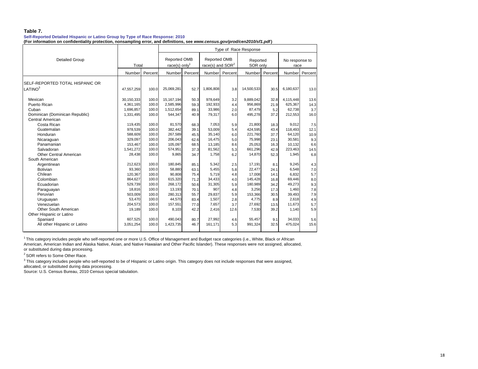#### **Table 7.**

#### **Self-Reported Detailed Hispanic or Latino Group by Type of Race Response: 2010**

**(For information on confidentiality protection, nonsampling error, and definitions, see** *www.census.gov/prod/cen2010/sf1.pdf* **)**

|                                 |            |         | Type of Race Response |                                                  |           |                                           |            |                      |           |                        |  |
|---------------------------------|------------|---------|-----------------------|--------------------------------------------------|-----------|-------------------------------------------|------------|----------------------|-----------|------------------------|--|
| <b>Detailed Group</b>           |            | Total   |                       | <b>Reported OMB</b><br>race(s) only <sup>1</sup> |           | <b>Reported OMB</b><br>race(s) and $SOR2$ |            | Reported<br>SOR only |           | No response to<br>race |  |
|                                 | Number     | Percent | Number                | Percent                                          |           | Number Percent                            | Number     | Percent              |           | Number Percent         |  |
| SELF-REPORTED TOTAL HISPANIC OR |            |         |                       |                                                  |           |                                           |            |                      |           |                        |  |
| LATINO <sup>3</sup>             | 47,557,259 | 100.0   | 25,069,281            | 52.7                                             | 1,806,808 | 3.8                                       | 14,500,533 | 30.5                 | 6,180,637 | 13.0                   |  |
| Mexican                         | 30,150,333 | 100.0   | 15, 167, 194          | 50.3                                             | 978.649   | 3.2                                       | 9,889,042  | 32.8                 | 4,115,448 | 13.6                   |  |
| Puerto Rican                    | 4,361,165  | 100.0   | 2,585,996             | 59.3                                             | 192,933   | 4.4                                       | 956,869    | 21.9                 | 625,367   | 14.3                   |  |
| Cuban                           | 1,696,857  | 100.0   | 1,512,654             | 89.1                                             | 33,986    | 2.0                                       | 87,479     | 5.2                  | 62,738    | 3.7                    |  |
| Dominican (Dominican Republic)  | 1,331,495  | 100.0   | 544,347               | 40.9                                             | 79,317    | 6.0                                       | 495,278    | 37.2                 | 212,553   | 16.0                   |  |
| <b>Central American</b>         |            |         |                       |                                                  |           |                                           |            |                      |           |                        |  |
| Costa Rican                     | 119,435    | 100.0   | 81,570                | 68.3                                             | 7,053     | 5.9                                       | 21,800     | 18.3                 | 9,012     | 7.5                    |  |
| Guatemalan                      | 978,539    | 100.0   | 382,442               | 39.1                                             | 53,009    | 5.4                                       | 424,595    | 43.4                 | 118,493   | 12.1                   |  |
| Honduran                        | 588,609    | 100.0   | 267,589               | 45.5                                             | 35,140    | 6.0                                       | 221,760    | 37.7                 | 64,120    | 10.9                   |  |
| Nicaraguan                      | 329.097    | 100.0   | 206,043               | 62.6                                             | 16,475    | 5.0                                       | 75,998     | 23.1                 | 30.581    | 9.3                    |  |
| Panamanian                      | 153,467    | 100.0   | 105,097               | 68.5                                             | 13,185    | 8.6                                       | 25,053     | 16.3                 | 10.132    | 6.6                    |  |
| Salvadoran                      | 1.541.272  | 100.0   | 574,951               | 37.3                                             | 81,562    | 5.3                                       | 661,296    | 42.9                 | 223,463   | 14.5                   |  |
| <b>Other Central American</b>   | 28,438     | 100.0   | 9,865                 | 34.7                                             | 1,758     | 6.2                                       | 14,870     | 52.3                 | 1,945     | 6.8                    |  |
| South American                  |            |         |                       |                                                  |           |                                           |            |                      |           |                        |  |
| Argentinean                     | 212,623    | 100.0   | 180,845               | 85.1                                             | 5,342     | 2.5                                       | 17,191     | 8.1                  | 9,245     | 4.3                    |  |
| Bolivian                        | 93.360     | 100.0   | 58.880                | 63.1                                             | 5,455     | 5.8                                       | 22.477     | 24.1                 | 6.548     | 7.0                    |  |
| Chilean                         | 120,367    | 100.0   | 90,808                | 75.4                                             | 5,719     | 4.8                                       | 17,008     | 14.1                 | 6,832     | 5.7                    |  |
| Colombian                       | 864.627    | 100.0   | 615,320               | 71.2                                             | 34,433    | 4.0                                       | 145,428    | 16.8                 | 69,446    | 8.0                    |  |
| Ecuadorian                      | 529,739    | 100.0   | 268,172               | 50.6                                             | 31,305    | 5.9                                       | 180,989    | 34.2                 | 49,273    | 9.3                    |  |
| Paraguayan                      | 18,816     | 100.0   | 13,193                | 70.1                                             | 907       | 4.8                                       | 3,256      | 17.3                 | 1,460     | 7.8                    |  |
| Peruvian                        | 503,009    | 100.0   | 280,313               | 55.7                                             | 29,837    | 5.9                                       | 153,366    | 30.5                 | 39,493    | 7.9                    |  |
| Uruguayan                       | 53.470     | 100.0   | 44,570                | 83.4                                             | 1,507     | 2.8                                       | 4,775      | 8.9                  | 2,618     | 4.9                    |  |
| Venezuelan                      | 204,573    | 100.0   | 157.551               | 77.0                                             | 7,657     | 3.7                                       | 27.692     | 13.5                 | 11.673    | 5.7                    |  |
| Other South American            | 19,189     | 100.0   | 8,103                 | 42.2                                             | 2,416     | 12.6                                      | 7,530      | 39.2                 | 1,140     | 5.9                    |  |
| Other Hispanic or Latino        |            |         |                       |                                                  |           |                                           |            |                      |           |                        |  |
| Spaniard                        | 607,525    | 100.0   | 490.043               | 80.7                                             | 27,992    | 4.6                                       | 55,457     | 9.1                  | 34,033    | 5.6                    |  |
| All other Hispanic or Latino    | 3,051,254  | 100.0   | 1,423,735             | 46.7                                             | 161,171   | 5.3                                       | 991,324    | 32.5                 | 475,024   | 15.6                   |  |

1 This category includes people who self-reported one or more U.S. Office of Management and Budget race categories (i.e., White, Black or African American, American Indian and Alaska Native, Asian, and Native Hawaiian and Other Pacific Islander). These responses were not assigned, allocated, or substituted during data processing.

2 SOR refers to Some Other Race.

 $3$  This category includes people who self-reported to be of Hispanic or Latino origin. This category does not include responses that were assigned, allocated, or substituted during data processing.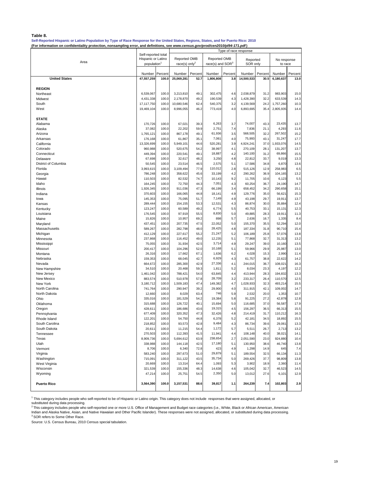#### **Table 8.**

**Self-Reported Hispanic or Latino Population by Type of Race Response for the United States, Regions, States, and for Puerto Rico: 2010**

**(For information on confidentiality protection, nonsampling error, and definitions, see** *www.census.gov/prod/cen2010/pl94-171.pdf* **)**

|                                | Type of race response                     |                |                         |              |                    |            |                   |              |                  |              |  |
|--------------------------------|-------------------------------------------|----------------|-------------------------|--------------|--------------------|------------|-------------------|--------------|------------------|--------------|--|
|                                | Self-reported total<br>Hispanic or Latino |                | Reported OMB            |              | Reported OMB       |            | Reported          |              | No response      |              |  |
| Area                           | population <sup>1</sup>                   |                | race(s) only $\epsilon$ |              | race(s) and $SOR3$ |            | SOR only          |              | to race          |              |  |
|                                |                                           |                |                         |              |                    |            |                   |              |                  |              |  |
|                                | Number                                    | Percent        | Number                  | Percent      | Number             | Percent    | Number            | Percent      | Number           | Percent      |  |
| <b>United States</b>           | 47,557,259                                | 100.0          | 25,069,281              | 52.7         | 1,806,808          | 3.8        | 14,500,533        | 30.5         | 6,180,637        | 13.0         |  |
|                                |                                           |                |                         |              |                    |            |                   |              |                  |              |  |
| <b>REGION</b>                  |                                           |                |                         |              |                    |            |                   |              |                  |              |  |
| Northeast                      | 6,539,067                                 | 100.0          | 3,213,810               | 49.1         | 302,475            | 4.6        | 2,038,879         | 31.2         | 983,903          | 15.0         |  |
| Midwest                        | 4,431,338                                 | 100.0          | 2,178,870               | 49.2         | 190,539            | 4.3        | 1,428,390         | 32.2         | 633,539          | 14.3         |  |
| South                          | 17,117,750                                | 100.0          | 10,680,546              | 62.4         | 540,375            | 3.2        | 4,139,569         | 24.2         | 1,757,260        | 10.3         |  |
| West                           | 19,469,104                                | 100.0          | 8,996,055               | 46.2         | 773,419            | 4.0        | 6,893,695         | 35.4         | 2,805,935        | 14.4         |  |
|                                |                                           |                |                         |              |                    |            |                   |              |                  |              |  |
| <b>STATE</b>                   |                                           |                |                         |              | 6,263              |            | 74,007            |              | 23,435           |              |  |
| Alabama<br>Alaska              | 170,726<br>37,082                         | 100.0<br>100.0 | 67,021<br>22,202        | 39.3<br>59.9 | 2,751              | 3.7<br>7.4 | 7,836             | 43.3<br>21.1 | 4,293            | 13.7<br>11.6 |  |
| Arizona                        | 1,765,121                                 | 100.0          | 867,178                 | 49.1         | 61,936             | 3.5        | 568,505           | 32.2         | 267,502          | 15.2         |  |
| Arkansas                       | 176,168                                   | 100.0          | 61,867                  | 35.1         | 7,061              | 4.0        | 75,993            | 43.1         | 31,247           | 17.7         |  |
| California                     | 13,326,699                                | 100.0          | 5,949,101               | 44.6         | 520,281            | 3.9        | 4,924,241         | 37.0         | 1,933,076        | 14.5         |  |
| Colorado                       | 960,988                                   | 100.0          | 520,675                 | 54.2         | 38,997             | 4.1        | 270,109           | 28.1         | 131,207          | 13.7         |  |
| Connecticut                    | 449,394                                   | 100.0          | 220,541                 | 49.1         | 18,887             | 4.2        | 140,100           | 31.2         | 69,866           | 15.5         |  |
| Delaware                       | 67,698                                    | 100.0          | 32,617                  | 48.2         | 3,250              | 4.8        | 22,812            | 33.7         | 9,019            | 13.3         |  |
| District of Columbia           | 50,545                                    | 100.0          | 23,514                  | 46.5         | 2,575              | 5.1        | 17,586            | 34.8         | 6,870            | 13.6         |  |
| Florida                        | 3,993,615                                 | 100.0          | 3,109,494               | 77.9         | 110,012            | 2.8        | 515,126           | 12.9         | 258.983          | 6.5          |  |
| Georgia                        | 786,248                                   | 100.0          | 358,622                 | 45.6         | 33,199             | 4.2        | 290,262           | 36.9         | 104,165          | 13.2         |  |
| Hawaii                         | 110,503                                   | 100.0          | 82,532                  | 74.7         | 10,143             | 9.2        | 11,705            | 10.6         | 6,123            | 5.5          |  |
| Idaho                          | 164,245                                   | 100.0          | 72,750                  | 44.3         | 7,051              | 4.3        | 60,254            | 36.7         | 24,190           | 14.7         |  |
| Illinois                       | 1,926,345                                 | 100.0          | 911,036                 | 47.3         | 66,199             | 3.4        | 658,452           | 34.2         | 290,658          | 15.1         |  |
| Indiana                        | 370,603                                   | 100.0          | 166,065                 | 44.8         | 18,141             | 4.9        | 129,776           | 35.0         | 56,621           | 15.3         |  |
| lowa                           | 145,353                                   | 100.0          | 75,095                  | 51.7         | 7,149              | 4.9        | 43,198            | 29.7         | 19,911           | 13.7         |  |
| Kansas                         | 289,444                                   | 100.0          | 154,155                 | 53.3         | 12,531             | 4.3        | 86,874            | 30.0         | 35,884           | 12.4         |  |
| Kentucky                       | 123,247                                   | 100.0          | 60,589                  | 49.2         | 6,774              | 5.5        | 40,753            | 33.1         | 15,131           | 12.3         |  |
| Louisiana                      | 176,545                                   | 100.0          | 97,919                  | 55.5         | 8,830              | 5.0        | 49,885            | 28.3         | 19,911           | 11.3         |  |
| Maine                          | 15,826                                    | 100.0          | 10,957                  | 69.2         | 898                | 5.7        | 2,636             | 16.7         | 1,335            | 8.4          |  |
| Maryland                       | 437,451                                   | 100.0          | 207,735                 | 47.5         | 22,052             | 5.0        | 155,370           | 35.5         | 52,294           | 12.0         |  |
| Massachusetts                  | 589,267                                   | 100.0          | 282,798                 | 48.0         | 28,425<br>21,247   | 4.8        | 187,334           | 31.8         | 90,710           | 15.4         |  |
| Michigan<br>Minnesota          | 412,129<br>237,868                        | 100.0<br>100.0 | 227,617<br>116,452      | 55.2<br>49.0 | 12,235             | 5.2<br>5.1 | 106,189<br>77,868 | 25.8<br>32.7 | 57,076<br>31,313 | 13.8<br>13.2 |  |
| Mississippi                    | 75,055                                    | 100.0          | 31,934                  | 42.5         | 3,714              | 4.9        | 29,247            | 39.0         | 10,160           | 13.5         |  |
| Missouri                       | 200,417                                   | 100.0          | 104,296                 | 52.0         | 10,168             | 5.1        | 59,966            | 29.9         | 25,987           | 13.0         |  |
| Montana                        | 26,316                                    | 100.0          | 17,662                  | 67.1         | 1,636              | 6.2        | 4,028             | 15.3         | 2,990            | 11.4         |  |
| Nebraska                       | 159,353                                   | 100.0          | 68,045                  | 42.7         | 6,929              | 4.3        | 61,757            | 38.8         | 22,622           | 14.2         |  |
| Nevada                         | 664,672                                   | 100.0          | 285,300                 | 42.9         | 27,336             | 4.1        | 244,015           | 36.7         | 108,021          | 16.3         |  |
| New Hampshire                  | 34,510                                    | 100.0          | 20,468                  | 59.3         | 1,811              | 5.2        | 8,034             | 23.3         | 4,197            | 12.2         |  |
| New Jersey                     | 1,461,042                                 | 100.0          | 788,421                 | 54.0         | 63,845             | 4.4        | 413,944           | 28.3         | 194,832          | 13.3         |  |
| New Mexico                     | 883,574                                   | 100.0          | 510,978                 | 57.8         | 28,709             | 3.2        | 233,317           | 26.4         | 110,570          | 12.5         |  |
| New York                       | 3,180,712                                 | 100.0          | 1,509,183               | 47.4         | 149,382            | 4.7        | 1,028,933         | 32.3         | 493,214          | 15.5         |  |
| North Carolina                 | 741,764                                   | 100.0          | 290,947                 | 39.2         | 29,900             | 4.0        | 311,915           | 42.1         | 109,002          | 14.7         |  |
| North Dakota                   | 12,660                                    | 100.0          | 8,029                   | 63.4         | 746                | 5.9        | 2,532             | 20.0         | 1,353            | 10.7         |  |
| Ohio                           | 335,016                                   | 100.0          | 181,529                 | 54.2         | 19,384             | 5.8        | 91,225            | 27.2         | 42,878           | 12.8         |  |
| Oklahoma                       | 315,688                                   | 100.0          | 126,722                 | 40.1         | 15,694             | 5.0        | 116,685           | 37.0         | 56,587           | 17.9         |  |
| Oregon                         | 428,611                                   | 100.0          | 186,686                 | 43.6         | 19,315             | 4.5        | 156,297           | 36.5         | 66,313           | 15.5         |  |
| Pennsylvania                   | 677,409                                   | 100.0          | 320.352                 | 47.3         | 32,426             | 4.8        | 214,419           | 31.7         | 110,212          | 16.3         |  |
| Rhode Island                   | 122,201<br>218,852                        | 100.0<br>100.0 | 54,750<br>93,573        | 44.8<br>42.8 | 6,378<br>9,484     | 5.2<br>4.3 | 42,181<br>86,734  | 34.5<br>39.6 | 18,892           | 15.5<br>13.3 |  |
| South Carolina<br>South Dakota | 20,611                                    | 100.0          | 11,215                  | 54.4         | 1,172              | 5.7        | 5,511             | 26.7         | 29,061<br>2,713  | 13.2         |  |
| Tennessee                      | 270,503                                   | 100.0          | 112,393                 | 41.5         | 11,941             | 4.4        | 108,148           | 40.0         | 38,021           | 14.1         |  |
| Texas                          | 8,909,736                                 | 100.0          | 5,694,612               | 63.9         | 238,654            | 2.7        | 2,051,590         | 23.0         | 924,880          | 10.4         |  |
| Utah                           | 338,988                                   | 100.0          | 144,118                 | 42.5         | 17,180             | 5.1        | 130,950           | 38.6         | 46,740           | 13.8         |  |
| Vermont                        | 8,706                                     | 100.0          | 6,340                   | 72.8         | 423                | 4.9        | 1,298             | 14.9         | 645              | 7.4          |  |
| Virginia                       | 583,240                                   | 100.0          | 297,673                 | 51.0         | 29,879             | 5.1        | 189,554           | 32.5         | 66,134           | 11.3         |  |
| Washington                     | 715,091                                   | 100.0          | 311,122                 | 43.5         | 35,734             | 5.0        | 269,426           | 37.7         | 98,809           | 13.8         |  |
| West Virginia                  | 20,669                                    | 100.0          | 13,314                  | 64.4         | 1,093              | 5.3        | 3,902             | 18.9         | 2,360            | 11.4         |  |
| Wisconsin                      | 321,539                                   | 100.0          | 155,336                 | 48.3         | 14,638             | 4.6        | 105,042           | 32.7         | 46,523           | 14.5         |  |
| Wyoming                        | 47,214                                    | 100.0          | 25,751                  | 54.5         | 2,350              | 5.0        | 13,012            | 27.6         | 6,101            | 12.9         |  |
|                                |                                           |                |                         |              |                    |            |                   |              |                  |              |  |
| <b>Puerto Rico</b>             | 3,564,390                                 | 100.0          | 3,157,531               | 88.6         | 39,817             | 1.1        | 264,239           | 7.4          | 102,803          | 2.9          |  |
|                                |                                           |                |                         |              |                    |            |                   |              |                  |              |  |

<sup>1</sup> This category includes people who self-reported to be of Hispanic or Latino origin. This category does not include responses that were assigned, allocated, or<br>substituted during data processing.<br><sup>2</sup> This category inclu <sup>3</sup> SOR refers to Some Other Race.